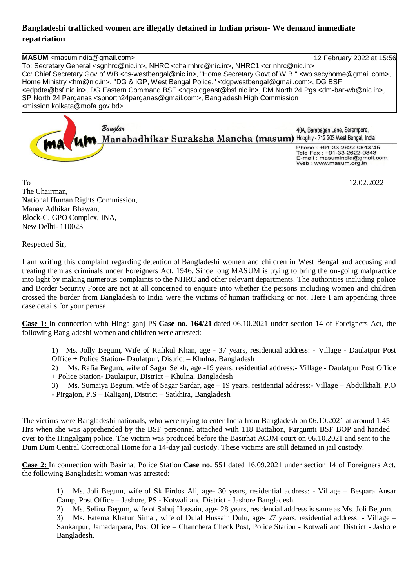## **Bangladeshi trafficked women are illegally detained in Indian prison- We demand immediate repatriation**

**MASUM** <masumindia@gmail.com> 12 February 2022 at 15:56 To: Secretary General <sgnhrc@nic.in>, NHRC <chairnhrc@nic.in>, NHRC1 <cr.nhrc@nic.in> Cc: Chief Secretary Gov of WB <cs-westbengal@nic.in>, "Home Secretary Govt of W.B." <wb.secyhome@gmail.com>, Home Ministry <hm@nic.in>, "DG & IGP, West Bengal Police." <dgpwestbengal@gmail.com>, DG BSF <edpdte@bsf.nic.in>, DG Eastern Command BSF <hqspldgeast@bsf.nic.in>, DM North 24 Pgs <dm-bar-wb@nic.in>, SP North 24 Parganas <spnorth24parganas@gmail.com>, Bangladesh High Commission <mission.kolkata@mofa.gov.bd> Banglar 40A. Barabagan Lane. Serempore. Manabadhikar Suraksha Mancha (masum) Hooghly - 712 203 West Bengal, India

Phone: +91-33-2622-0843/45 Tele Fax : +91-33-2622-0843 E-mail: masumindia@gmail.com Web: www.masum.org.in

To 12.02.2022 The Chairman, National Human Rights Commission, Manav Adhikar Bhawan, Block-C, GPO Complex, INA, New Delhi- 110023

Respected Sir,

I am writing this complaint regarding detention of Bangladeshi women and children in West Bengal and accusing and treating them as criminals under Foreigners Act, 1946. Since long MASUM is trying to bring the on-going malpractice into light by making numerous complaints to the NHRC and other relevant departments. The authorities including police and Border Security Force are not at all concerned to enquire into whether the persons including women and children crossed the border from Bangladesh to India were the victims of human trafficking or not. Here I am appending three case details for your perusal.

**Case 1:** In connection with Hingalganj PS **Case no. 164/21** dated 06.10.2021 under section 14 of Foreigners Act, the following Bangladeshi women and children were arrested:

1) Ms. Jolly Begum, Wife of Rafikul Khan, age - 37 years, residential address: - Village - Daulatpur Post Office + Police Station- Daulatpur, District – Khulna, Bangladesh

2) Ms. Rafia Begum, wife of Sagar Seikh, age -19 years, residential address:- Village - Daulatpur Post Office + Police Station- Daulatpur, District – Khulna, Bangladesh

3) Ms. Sumaiya Begum, wife of Sagar Sardar, age – 19 years, residential address:- Village – Abdulkhali, P.O - Pirgajon, P.S – Kaliganj, District – Satkhira, Bangladesh

The victims were Bangladeshi nationals, who were trying to enter India from Bangladesh on 06.10.2021 at around 1.45 Hrs when she was apprehended by the BSF personnel attached with 118 Battalion, Pargumti BSF BOP and handed over to the Hingalganj police. The victim was produced before the Basirhat ACJM court on 06.10.2021 and sent to the Dum Dum Central Correctional Home for a 14-day jail custody. These victims are still detained in jail custody.

**Case 2:** In connection with Basirhat Police Station **Case no. 551** dated 16.09.2021 under section 14 of Foreigners Act, the following Bangladeshi woman was arrested:

1) Ms. Joli Begum, wife of Sk Firdos Ali, age- 30 years, residential address: - Village – Bespara Ansar Camp, Post Office – Jashore, PS - Kotwali and District - Jashore Bangladesh.

2) Ms. Selina Begum, wife of Sabuj Hossain, age- 28 years, residential address is same as Ms. Joli Begum.

3) Ms. Fatema Khatun Sima , wife of Dulal Hussain Dulu, age- 27 years, residential address: - Village – Sankarpur, Jamadarpara, Post Office – Chanchera Check Post, Police Station - Kotwali and District - Jashore Bangladesh.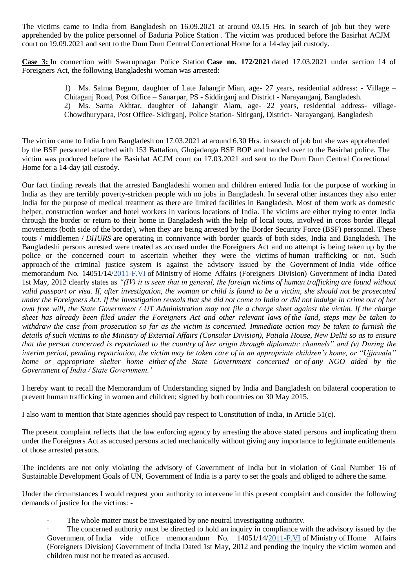The victims came to India from Bangladesh on 16.09.2021 at around 03.15 Hrs. in search of job but they were apprehended by the police personnel of Baduria Police Station . The victim was produced before the Basirhat ACJM court on 19.09.2021 and sent to the Dum Dum Central Correctional Home for a 14-day jail custody.

**Case 3:** In connection with Swarupnagar Police Station **Case no. 172/2021** dated 17.03.2021 under section 14 of Foreigners Act, the following Bangladeshi woman was arrested:

> 1) Ms. Salma Begum, daughter of Late Jahangir Mian, age- 27 years, residential address: - Village – Chitaganj Road, Post Office – Sanarpar, PS - Siddirganj and District - Narayanganj, Bangladesh. 2) Ms. Sarna Akhtar, daughter of Jahangir Alam, age- 22 years, residential address- village-Chowdhurypara, Post Office- Sidirganj, Police Station- Sitirganj, District- Narayanganj, Bangladesh

The victim came to India from Bangladesh on 17.03.2021 at around 6.30 Hrs. in search of job but she was apprehended by the BSF personnel attached with 153 Battalion, Ghojadanga BSF BOP and handed over to the Basirhat police. The victim was produced before the Basirhat ACJM court on 17.03.2021 and sent to the Dum Dum Central Correctional Home for a 14-day jail custody.

Our fact finding reveals that the arrested Bangladeshi women and children entered India for the purpose of working in India as they are terribly poverty-stricken people with no jobs in Bangladesh. In several other instances they also enter India for the purpose of medical treatment as there are limited facilities in Bangladesh. Most of them work as domestic helper, construction worker and hotel workers in various locations of India. The victims are either trying to enter India through the border or return to their home in Bangladesh with the help of local touts, involved in cross border illegal movements (both side of the border), when they are being arrested by the Border Security Force (BSF) personnel. These touts / middlemen / *DHURS* are operating in connivance with border guards of both sides, India and Bangladesh. The Bangladeshi persons arrested were treated as accused under the Foreigners Act and no attempt is being taken up by the police or the concerned court to ascertain whether they were the victims of human trafficking or not. Such approach of the criminal justice system is against the advisory issued by the Government of India vide office memorandum No. 14051/14[/2011-F.VI](http://2011-f.vi/) of Ministry of Home Affairs (Foreigners Division) Government of India Dated 1st May, 2012 clearly states as *"(IV) it is seen that in general, the foreign victims of human trafficking are found without valid passport or visa. If, after investigation, the woman or child is found to be a victim, she should not be prosecuted under the Foreigners Act. If the investigation reveals that she did not come to India or did not indulge in crime out of her own free will, the State Government / UT Administration may not file a charge sheet against the victim. If the charge sheet has already been filed under the Foreigners Act and other relevant laws of the land, steps may be taken to withdraw the case from prosecution so far as the victim is concerned. Immediate action may be taken to furnish the details of such victims to the Ministry of External Affairs (Consular Division), Patiala House, New Delhi so as to ensure that the person concerned is repatriated to the country of her origin through diplomatic channels" and (v) During the interim period, pending repatriation, the victim may be taken care of in an appropriate children's home, or "Ujjawala" home or appropriate shelter home either of the State Government concerned or of any NGO aided by the Government of India / State Government.'*

I hereby want to recall the Memorandum of Understanding signed by India and Bangladesh on bilateral cooperation to prevent human trafficking in women and children; signed by both countries on 30 May 2015.

I also want to mention that State agencies should pay respect to Constitution of India, in Article 51(c).

The present complaint reflects that the law enforcing agency by arresting the above stated persons and implicating them under the Foreigners Act as accused persons acted mechanically without giving any importance to legitimate entitlements of those arrested persons.

The incidents are not only violating the advisory of Government of India but in violation of Goal Number 16 of Sustainable Development Goals of UN, Government of India is a party to set the goals and obliged to adhere the same.

Under the circumstances I would request your authority to intervene in this present complaint and consider the following demands of justice for the victims: -

The whole matter must be investigated by one neutral investigating authority.

The concerned authority must be directed to hold an inquiry in compliance with the advisory issued by the Government of India vide office memorandum No. 14051/14[/2011-F.VI](http://2011-f.vi/) of Ministry of Home Affairs (Foreigners Division) Government of India Dated 1st May, 2012 and pending the inquiry the victim women and children must not be treated as accused.